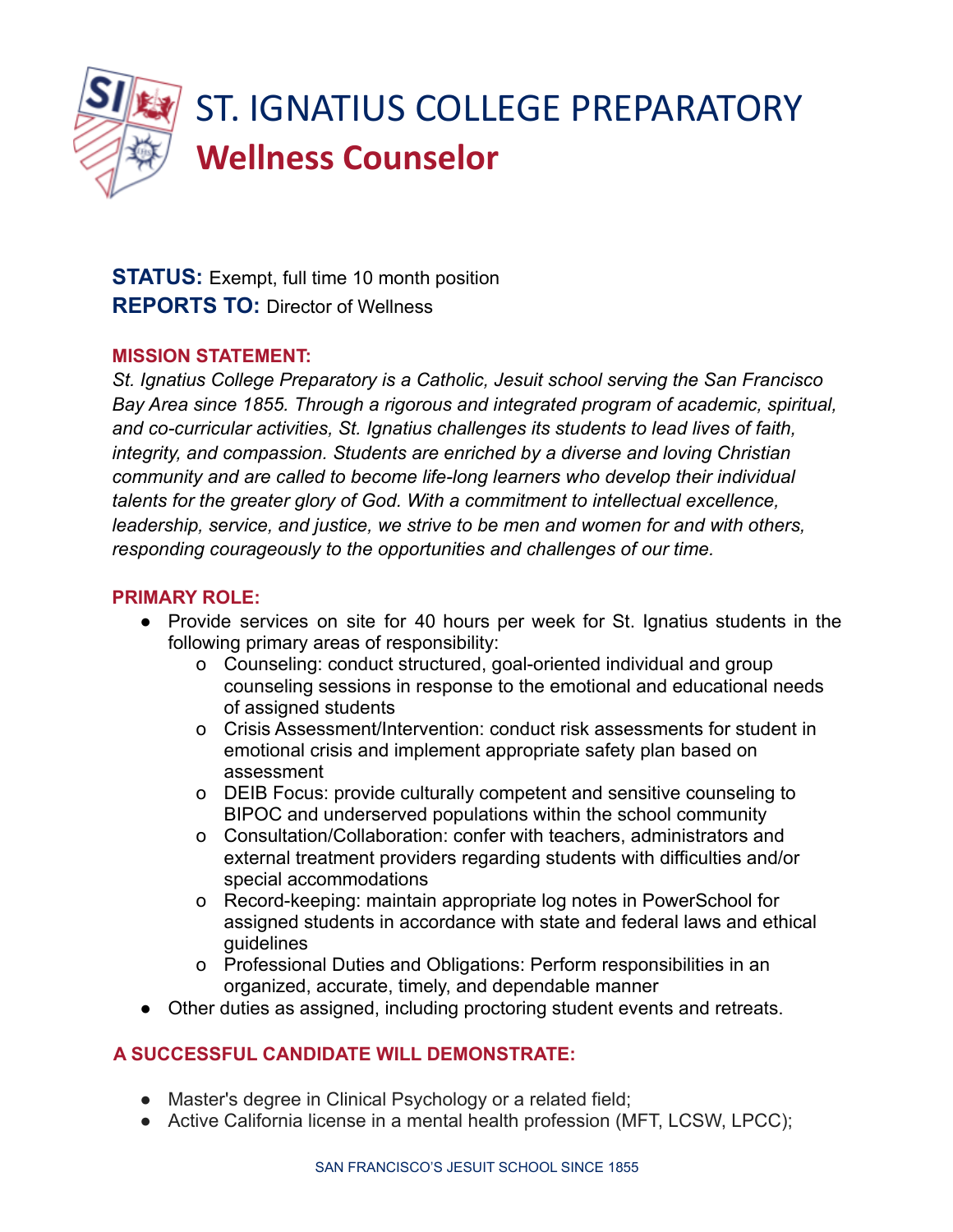

# ST. IGNATIUS COLLEGE PREPARATORY **Wellness Counselor**

**STATUS:** Exempt, full time 10 month position **REPORTS TO:** Director of Wellness

#### **MISSION STATEMENT:**

*St. Ignatius College Preparatory is a Catholic, Jesuit school serving the San Francisco Bay Area since 1855. Through a rigorous and integrated program of academic, spiritual, and co-curricular activities, St. Ignatius challenges its students to lead lives of faith, integrity, and compassion. Students are enriched by a diverse and loving Christian community and are called to become life-long learners who develop their individual talents for the greater glory of God. With a commitment to intellectual excellence, leadership, service, and justice, we strive to be men and women for and with others, responding courageously to the opportunities and challenges of our time.*

#### **PRIMARY ROLE:**

- Provide services on site for 40 hours per week for St. Ignatius students in the following primary areas of responsibility:
	- o Counseling: conduct structured, goal-oriented individual and group counseling sessions in response to the emotional and educational needs of assigned students
	- o Crisis Assessment/Intervention: conduct risk assessments for student in emotional crisis and implement appropriate safety plan based on assessment
	- o DEIB Focus: provide culturally competent and sensitive counseling to BIPOC and underserved populations within the school community
	- o Consultation/Collaboration: confer with teachers, administrators and external treatment providers regarding students with difficulties and/or special accommodations
	- o Record-keeping: maintain appropriate log notes in PowerSchool for assigned students in accordance with state and federal laws and ethical guidelines
	- o Professional Duties and Obligations: Perform responsibilities in an organized, accurate, timely, and dependable manner
- Other duties as assigned, including proctoring student events and retreats.

### **A SUCCESSFUL CANDIDATE WILL DEMONSTRATE:**

- Master's degree in Clinical Psychology or a related field;
- Active California license in a mental health profession (MFT, LCSW, LPCC);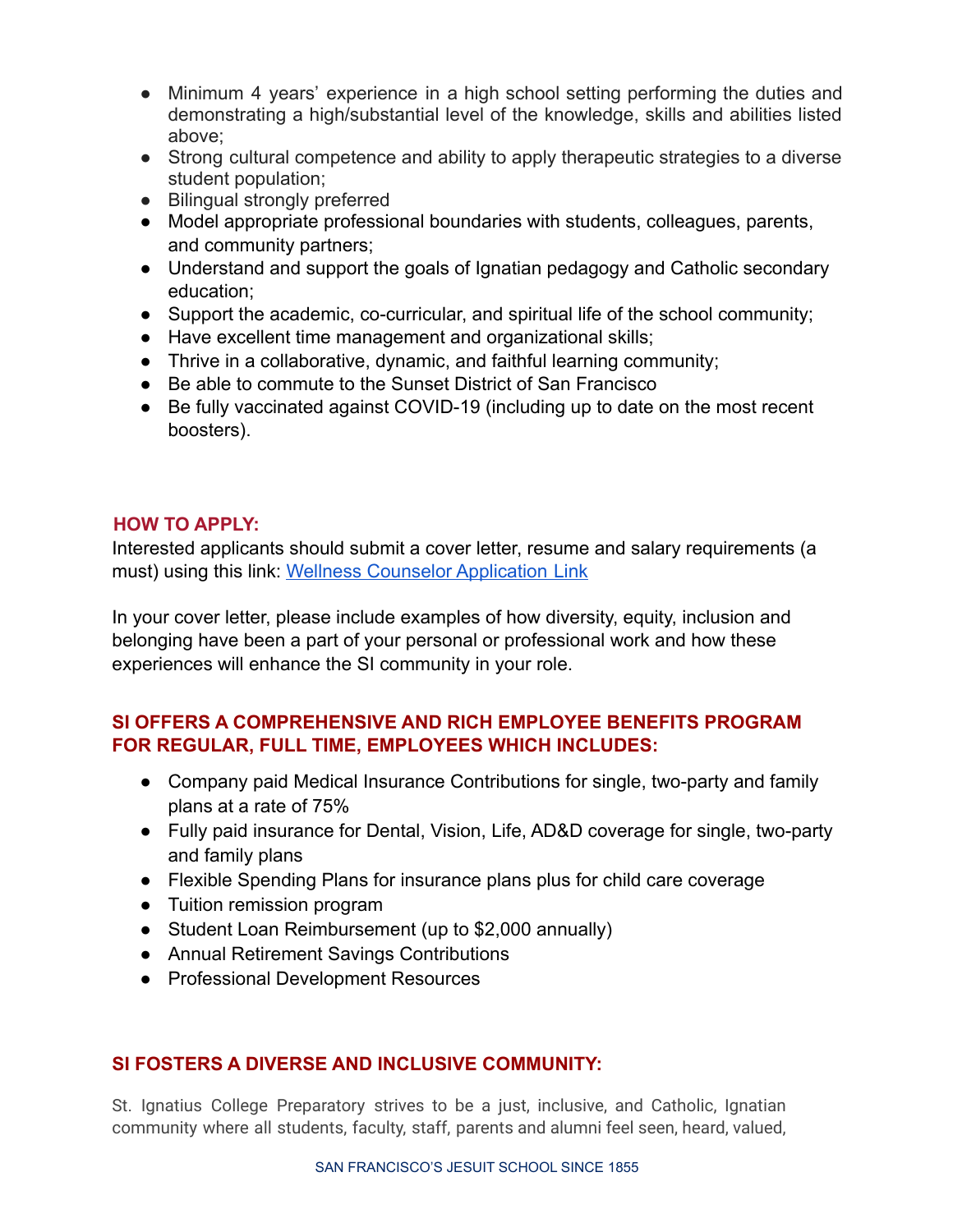- Minimum 4 years' experience in a high school setting performing the duties and demonstrating a high/substantial level of the knowledge, skills and abilities listed above;
- Strong cultural competence and ability to apply therapeutic strategies to a diverse student population;
- Bilingual strongly preferred
- Model appropriate professional boundaries with students, colleagues, parents, and community partners;
- Understand and support the goals of Ignatian pedagogy and Catholic secondary education;
- Support the academic, co-curricular, and spiritual life of the school community;
- Have excellent time management and organizational skills;
- Thrive in a collaborative, dynamic, and faithful learning community;
- Be able to commute to the Sunset District of San Francisco
- Be fully vaccinated against COVID-19 (including up to date on the most recent boosters).

# **HOW TO APPLY:**

Interested applicants should submit a cover letter, resume and salary requirements (a must) using this link: [Wellness Counselor Application](https://forms.gle/puoM3zex3hduo1PS6) Link

In your cover letter, please include examples of how diversity, equity, inclusion and belonging have been a part of your personal or professional work and how these experiences will enhance the SI community in your role.

# **SI OFFERS A COMPREHENSIVE AND RICH EMPLOYEE BENEFITS PROGRAM FOR REGULAR, FULL TIME, EMPLOYEES WHICH INCLUDES:**

- Company paid Medical Insurance Contributions for single, two-party and family plans at a rate of 75%
- Fully paid insurance for Dental, Vision, Life, AD&D coverage for single, two-party and family plans
- Flexible Spending Plans for insurance plans plus for child care coverage
- Tuition remission program
- Student Loan Reimbursement (up to \$2,000 annually)
- Annual Retirement Savings Contributions
- Professional Development Resources

### **SI FOSTERS A DIVERSE AND INCLUSIVE COMMUNITY:**

St. Ignatius College Preparatory strives to be a just, inclusive, and Catholic, Ignatian community where all students, faculty, staff, parents and alumni feel seen, heard, valued,